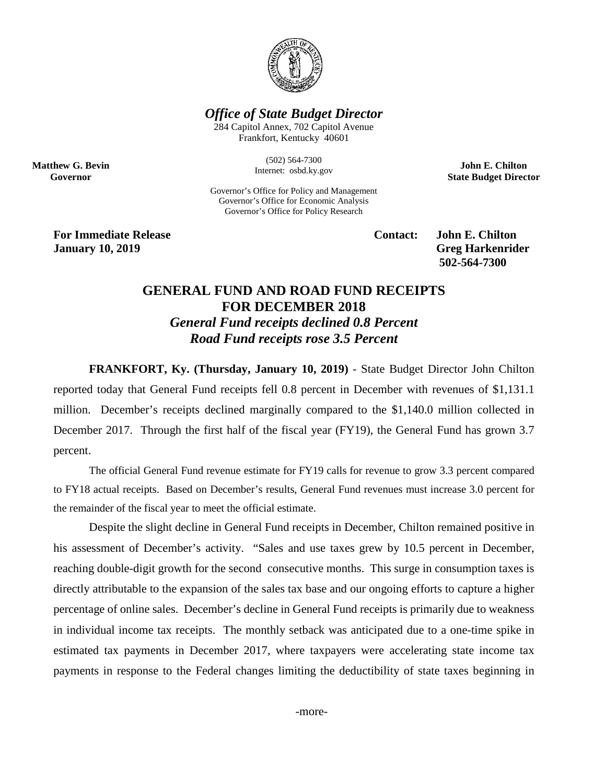

## *Office of State Budget Director*

284 Capitol Annex, 702 Capitol Avenue Frankfort, Kentucky 40601

> (502) 564-7300 Internet: osbd.ky.gov

Governor's Office for Policy and Management Governor's Office for Economic Analysis Governor's Office for Policy Research

**John E. Chilton State Budget Director**

**For Immediate Release Contact: John E. Chilton January** 10, 2019 **Greg Harkenrider** 

**Matthew G. Bevin Governor**

**502-564-7300** 

## **GENERAL FUND AND ROAD FUND RECEIPTS FOR DECEMBER 2018** *General Fund receipts declined 0.8 Percent Road Fund receipts rose 3.5 Percent*

**FRANKFORT, Ky. (Thursday, January 10, 2019)** - State Budget Director John Chilton reported today that General Fund receipts fell 0.8 percent in December with revenues of \$1,131.1 million. December's receipts declined marginally compared to the \$1,140.0 million collected in December 2017. Through the first half of the fiscal year (FY19), the General Fund has grown 3.7 percent.

The official General Fund revenue estimate for FY19 calls for revenue to grow 3.3 percent compared to FY18 actual receipts. Based on December's results, General Fund revenues must increase 3.0 percent for the remainder of the fiscal year to meet the official estimate.

Despite the slight decline in General Fund receipts in December, Chilton remained positive in his assessment of December's activity. "Sales and use taxes grew by 10.5 percent in December, reaching double-digit growth for the second consecutive months. This surge in consumption taxes is directly attributable to the expansion of the sales tax base and our ongoing efforts to capture a higher percentage of online sales. December's decline in General Fund receipts is primarily due to weakness in individual income tax receipts. The monthly setback was anticipated due to a one-time spike in estimated tax payments in December 2017, where taxpayers were accelerating state income tax payments in response to the Federal changes limiting the deductibility of state taxes beginning in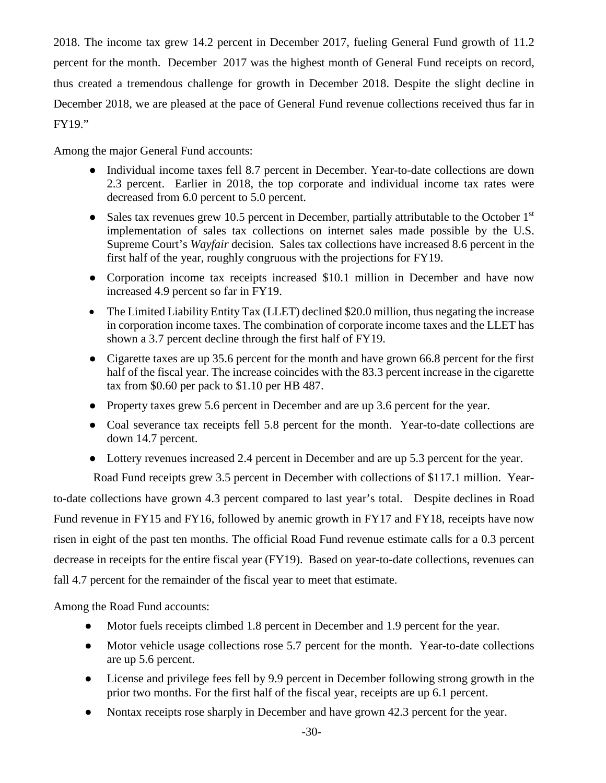2018. The income tax grew 14.2 percent in December 2017, fueling General Fund growth of 11.2 percent for the month. December 2017 was the highest month of General Fund receipts on record, thus created a tremendous challenge for growth in December 2018. Despite the slight decline in December 2018, we are pleased at the pace of General Fund revenue collections received thus far in FY19."

Among the major General Fund accounts:

- Individual income taxes fell 8.7 percent in December. Year-to-date collections are down 2.3 percent. Earlier in 2018, the top corporate and individual income tax rates were decreased from 6.0 percent to 5.0 percent.
- Sales tax revenues grew 10.5 percent in December, partially attributable to the October  $1<sup>st</sup>$ implementation of sales tax collections on internet sales made possible by the U.S. Supreme Court's *Wayfair* decision. Sales tax collections have increased 8.6 percent in the first half of the year, roughly congruous with the projections for FY19.
- Corporation income tax receipts increased \$10.1 million in December and have now increased 4.9 percent so far in FY19.
- The Limited Liability Entity Tax (LLET) declined \$20.0 million, thus negating the increase in corporation income taxes. The combination of corporate income taxes and the LLET has shown a 3.7 percent decline through the first half of FY19.
- Cigarette taxes are up 35.6 percent for the month and have grown 66.8 percent for the first half of the fiscal year. The increase coincides with the 83.3 percent increase in the cigarette tax from \$0.60 per pack to \$1.10 per HB 487.
- Property taxes grew 5.6 percent in December and are up 3.6 percent for the year.
- Coal severance tax receipts fell 5.8 percent for the month. Year-to-date collections are down 14.7 percent.
- Lottery revenues increased 2.4 percent in December and are up 5.3 percent for the year.

Road Fund receipts grew 3.5 percent in December with collections of \$117.1 million. Yearto-date collections have grown 4.3 percent compared to last year's total. Despite declines in Road Fund revenue in FY15 and FY16, followed by anemic growth in FY17 and FY18, receipts have now risen in eight of the past ten months. The official Road Fund revenue estimate calls for a 0.3 percent decrease in receipts for the entire fiscal year (FY19). Based on year-to-date collections, revenues can fall 4.7 percent for the remainder of the fiscal year to meet that estimate.

Among the Road Fund accounts:

- Motor fuels receipts climbed 1.8 percent in December and 1.9 percent for the year.
- Motor vehicle usage collections rose 5.7 percent for the month. Year-to-date collections are up 5.6 percent.
- License and privilege fees fell by 9.9 percent in December following strong growth in the prior two months. For the first half of the fiscal year, receipts are up 6.1 percent.
- Nontax receipts rose sharply in December and have grown 42.3 percent for the year.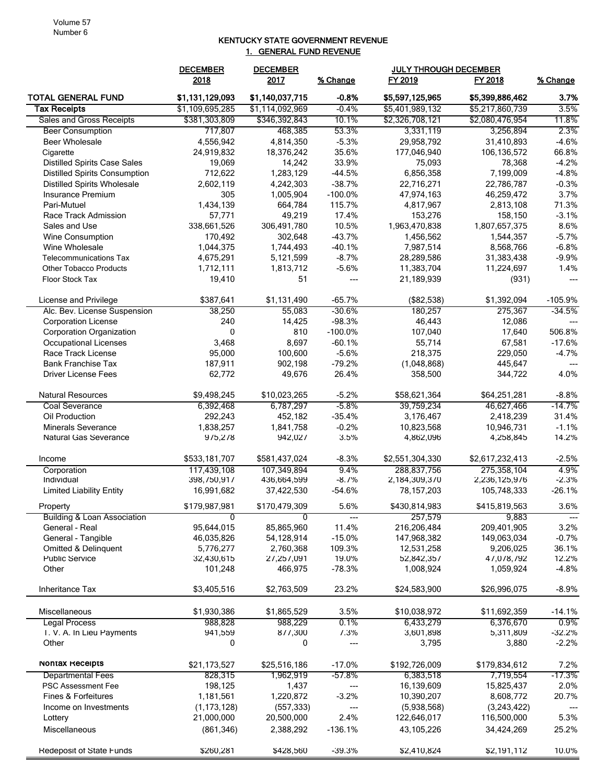## KENTUCKY STATE GOVERNMENT REVENUE 1. GENERAL FUND REVENUE

|                                        | <b>DECEMBER</b> | <b>DECEMBER</b><br>2017 |                        | <b>JULY THROUGH DECEMBER</b> |                 |                         |
|----------------------------------------|-----------------|-------------------------|------------------------|------------------------------|-----------------|-------------------------|
|                                        | 2018            |                         | % Change               | FY 2019                      | FY 2018         | % Change                |
| <b>TOTAL GENERAL FUND</b>              | \$1,131,129,093 | \$1,140,037,715         | $-0.8%$                | \$5,597,125,965              | \$5,399,886,462 | 3.7%                    |
| <b>Tax Receipts</b>                    | \$1,109,695,285 | \$1,114,092,969         | $-0.4%$                | \$5,401,989,132              | \$5,217,860,739 | 3.5%                    |
| <b>Sales and Gross Receipts</b>        | \$381,303,809   | \$346,392,843           | 10.1%                  | \$2,326,708,121              | \$2,080,476,954 | 11.8%                   |
| <b>Beer Consumption</b>                | 717,807         | 468,385                 | 53.3%                  | 3,331,119                    | 3,256,894       | 2.3%                    |
| <b>Beer Wholesale</b>                  | 4,556,942       | 4,814,350               | $-5.3%$                | 29,958,792                   | 31,410,893      | $-4.6%$                 |
| Cigarette                              | 24,919,832      | 18,376,242              | 35.6%                  | 177,046,940                  | 106,136,572     | 66.8%                   |
| <b>Distilled Spirits Case Sales</b>    | 19,069          | 14,242                  | 33.9%                  | 75,093                       | 78,368          | $-4.2%$                 |
| <b>Distilled Spirits Consumption</b>   | 712,622         | 1,283,129               | $-44.5%$               | 6,856,358                    | 7,199,009       | $-4.8%$                 |
| <b>Distilled Spirits Wholesale</b>     | 2,602,119       | 4,242,303               | $-38.7%$               | 22,716,271                   | 22,786,787      | $-0.3%$                 |
| Insurance Premium                      | 305             | 1,005,904               | $-100.0%$              | 47,974,163                   | 46,259,472      | 3.7%                    |
| Pari-Mutuel                            | 1,434,139       | 664,784                 | 115.7%                 | 4,817,967                    | 2,813,108       | 71.3%                   |
| Race Track Admission                   | 57,771          | 49,219                  | 17.4%                  | 153,276                      | 158,150         | $-3.1%$                 |
| Sales and Use                          | 338,661,526     | 306,491,780             | 10.5%                  | 1,963,470,838                | 1,807,657,375   | 8.6%                    |
| Wine Consumption                       | 170,492         | 302,648                 | $-43.7%$               | 1,456,562                    | 1,544,357       | $-5.7%$                 |
| Wine Wholesale                         | 1,044,375       | 1,744,493               | $-40.1%$               | 7,987,514                    | 8,568,766       | $-6.8%$                 |
| <b>Telecommunications Tax</b>          | 4,675,291       | 5,121,599               | $-8.7%$                | 28,289,586                   | 31,383,438      | $-9.9%$                 |
| <b>Other Tobacco Products</b>          | 1,712,111       | 1,813,712               | $-5.6%$                | 11,383,704                   | 11,224,697      | 1.4%                    |
| <b>Floor Stock Tax</b>                 | 19,410          | 51                      | ---                    | 21,189,939                   | (931)           |                         |
| License and Privilege                  | \$387,641       | \$1,131,490             | $-65.7%$               | (\$82,538)                   | \$1,392,094     | $-105.9%$               |
| Alc. Bev. License Suspension           | 38,250          | 55,083                  | $-30.6%$               | 180,257                      | 275,367         | $-34.5%$                |
| <b>Corporation License</b>             | 240             | 14,425                  | $-98.3%$               | 46,443                       | 12,086          |                         |
| <b>Corporation Organization</b>        | $\mathbf{0}$    | 810                     | $-100.0%$              | 107,040                      | 17,640          | 506.8%                  |
| Occupational Licenses                  | 3,468           | 8,697                   | $-60.1%$               | 55,714                       | 67,581          | $-17.6%$                |
| Race Track License                     | 95,000          | 100,600                 | $-5.6%$                | 218,375                      | 229,050         | $-4.7%$                 |
| <b>Bank Franchise Tax</b>              | 187,911         | 902,198                 | $-79.2%$               | (1,048,868)                  | 445,647         |                         |
| <b>Driver License Fees</b>             | 62,772          | 49,676                  | 26.4%                  | 358,500                      | 344,722         | 4.0%                    |
| Natural Resources                      | \$9,498,245     | \$10,023,265            | $-5.2%$                | \$58,621,364                 | \$64,251,281    | $-8.8%$                 |
| Coal Severance                         | 6,392,468       | 6,787,297               | -5.8%                  | 39,759,234                   | 46,627,466      | -14.7%                  |
| Oil Production                         | 292,243         | 452,182                 | $-35.4%$               | 3,176,467                    | 2,418,239       | 31.4%                   |
| <b>Minerals Severance</b>              | 1,838,257       | 1,841,758               | $-0.2%$                | 10,823,568                   | 10,946,731      | $-1.1%$                 |
| <b>Natural Gas Severance</b>           | 975,278         | 942,027                 | 3.5%                   | 4,862,096                    | 4,258,845       | 14.2%                   |
| Income                                 | \$533,181,707   | \$581,437,024           | $-8.3%$                | \$2,551,304,330              | \$2,617,232,413 | $-2.5%$                 |
| Corporation                            | 117,439,108     | 107,349,894             | 9.4%                   | 288,837,756                  | 275,358,104     | 4.9%                    |
| Individual                             | 398,750,917     | 436,664,599             | $-8.7%$                | 2,184,309,370                | 2,236,125,976   | $-2.3%$                 |
| <b>Limited Liability Entity</b>        | 16,991,682      | 37,422,530              | $-54.6%$               | 78, 157, 203                 | 105,748,333     | $-26.1%$                |
| Property                               | \$179,987,981   | \$170,479,309           | 5.6%                   | \$430,814,983                | \$415,819,563   | 3.6%                    |
| <b>Building &amp; Loan Association</b> | $\overline{0}$  | $\Omega$                | $---$                  | 257,579                      | 9,883           | $\qquad \qquad -\qquad$ |
| General - Real                         | 95,644,015      | 85,865,960              | 11.4%                  | 216,206,484                  | 209,401,905     | 3.2%                    |
| General - Tangible                     | 46,035,826      | 54,128,914              | $-15.0%$               | 147,968,382                  | 149,063,034     | $-0.7%$                 |
| Omitted & Delinquent                   | 5,776,277       | 2,760,368               | 109.3%                 | 12,531,258                   | 9,206,025       | 36.1%                   |
| <b>Public Service</b>                  | 32,430,615      | 27,257,091              | 19.0%                  | 52,842,357                   | 47,078,792      | 12.2%                   |
| Other                                  | 101,248         | 466,975                 | $-78.3%$               | 1,008,924                    | 1,059,924       | $-4.8%$                 |
| Inheritance Tax                        | \$3,405,516     | \$2,763,509             | 23.2%                  | \$24,583,900                 | \$26,996,075    | $-8.9%$                 |
| Miscellaneous                          | \$1,930,386     | \$1,865,529             | 3.5%                   | \$10,038,972                 | \$11,692,359    | $-14.1%$                |
| <b>Legal Process</b>                   | 988,828         | 988,229                 | 0.1%                   | 6,433,279                    | 6,376,670       | 0.9%                    |
| T. V. A. In Lieu Payments              | 941,559         | 877,300                 | 7.3%                   | 3,601,898                    | 5,311,809       | $-32.2%$                |
| Other                                  | 0               | 0                       | ---                    | 3,795                        | 3,880           | $-2.2%$                 |
| <b>NONTAX Receipts</b>                 | \$21,173,527    | \$25,516,186            | $-17.0%$               | \$192,726,009                | \$179,834,612   | 7.2%                    |
| <b>Departmental Fees</b>               | 828,315         | 1,962,919               | $-57.8%$               | 6,383,518                    | 7,719,554       | $-17.3%$                |
| PSC Assessment Fee                     | 198,125         | 1,437                   | $\qquad \qquad \cdots$ | 16,139,609                   | 15,825,437      | 2.0%                    |
| Fines & Forfeitures                    | 1,181,561       | 1,220,872               | $-3.2%$                | 10,390,207                   | 8,608,772       | 20.7%                   |
| Income on Investments                  | (1, 173, 128)   | (557, 333)              | ---                    | (5,938,568)                  | (3,243,422)     | ---                     |
| Lottery                                | 21,000,000      | 20,500,000              | 2.4%                   | 122,646,017                  | 116,500,000     | 5.3%                    |
| Miscellaneous                          | (861, 346)      | 2,388,292               | $-136.1%$              | 43,105,226                   | 34,424,269      | 25.2%                   |
| Redeposit of State Funds               | \$260,281       | \$428,560               | $-39.3%$               | \$2,410,824                  | \$2,191,112     | 10.0%                   |